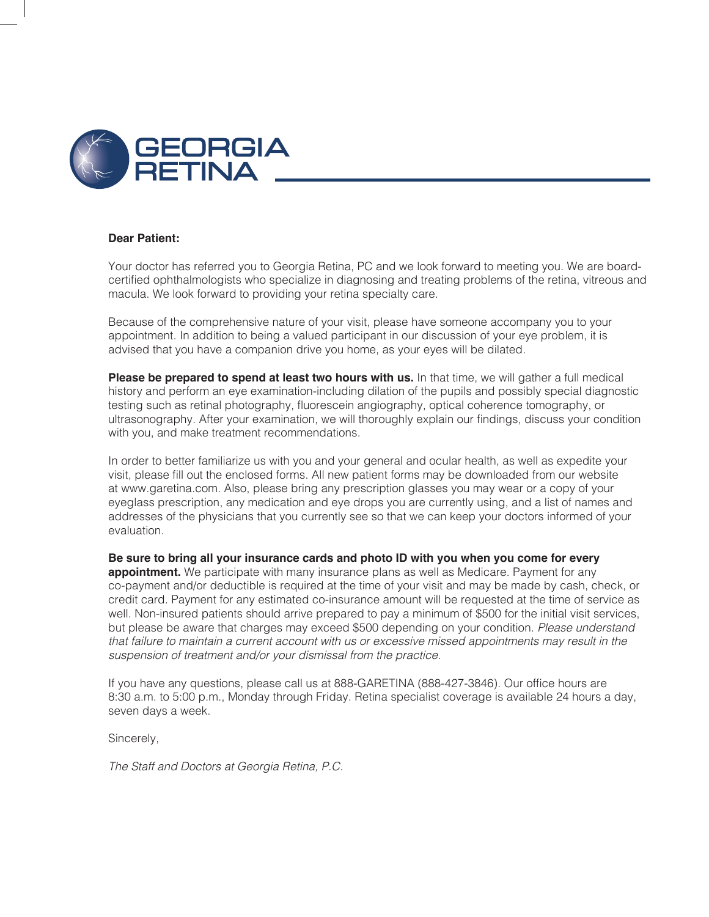

#### **Dear Patient:**

Your doctor has referred you to Georgia Retina, PC and we look forward to meeting you. We are boardcertified ophthalmologists who specialize in diagnosing and treating problems of the retina, vitreous and macula. We look forward to providing your retina specialty care.

Because of the comprehensive nature of your visit, please have someone accompany you to your appointment. In addition to being a valued participant in our discussion of your eye problem, it is advised that you have a companion drive you home, as your eyes will be dilated.

Please be prepared to spend at least two hours with us. In that time, we will gather a full medical history and perform an eye examination-including dilation of the pupils and possibly special diagnostic testing such as retinal photography, fluorescein angiography, optical coherence tomography, or ultrasonography. After your examination, we will thoroughly explain our findings, discuss your condition with you, and make treatment recommendations.

In order to better familiarize us with you and your general and ocular health, as well as expedite your visit, please fill out the enclosed forms. All new patient forms may be downloaded from our website at www.garetina.com. Also, please bring any prescription glasses you may wear or a copy of your eyeglass prescription, any medication and eye drops you are currently using, and a list of names and addresses of the physicians that you currently see so that we can keep your doctors informed of your evaluation.

Be sure to bring all your insurance cards and photo ID with you when you come for every appointment. We participate with many insurance plans as well as Medicare. Payment for any co-payment and/or deductible is required at the time of your visit and may be made by cash, check, or credit card. Payment for any estimated co-insurance amount will be requested at the time of service as well. Non-insured patients should arrive prepared to pay a minimum of \$500 for the initial visit services, but please be aware that charges may exceed \$500 depending on your condition. Please understand that failure to maintain a current account with us or excessive missed appointments may result in the suspension of treatment and/or your dismissal from the practice.

If you have any questions, please call us at 888-GARETINA (888-427-3846). Our office hours are 8:30 a.m. to 5:00 p.m., Monday through Friday. Retina specialist coverage is available 24 hours a day, seven days a week.

Sincerely,

The Staff and Doctors at Georgia Retina, P.C.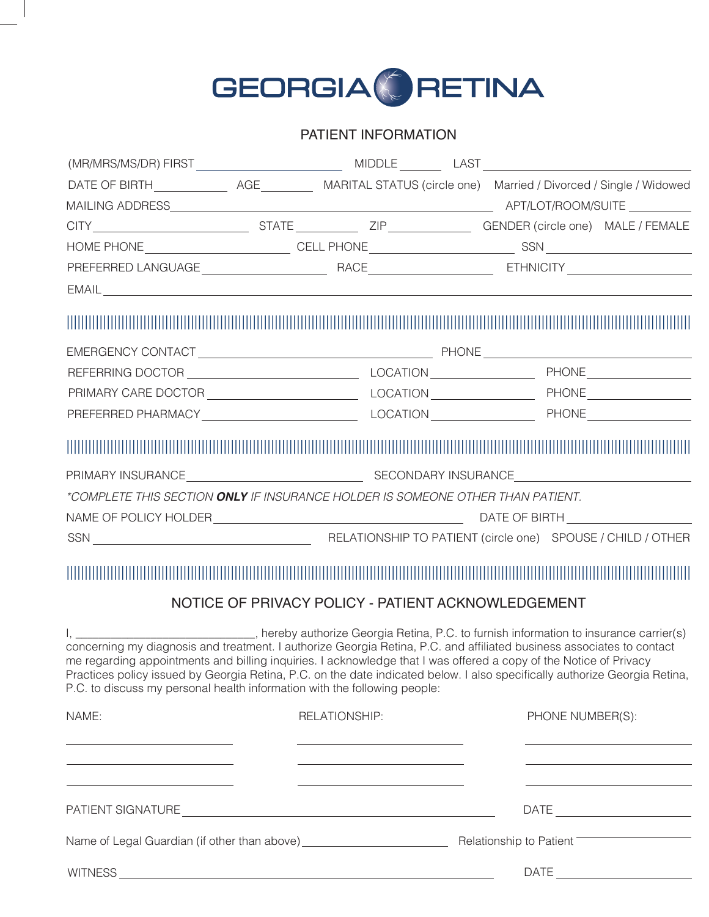

### PATIENT INFORMATION

| EMAIL <u>substitution of the contract of the contract of the contract of the contract of the contract of the contract of the contract of the contract of the contract of the contract of the contract of the contract of the con</u>                                                                                                                                                                                                                  |                                                                                                                                             |                  |                                                                                                          |
|-------------------------------------------------------------------------------------------------------------------------------------------------------------------------------------------------------------------------------------------------------------------------------------------------------------------------------------------------------------------------------------------------------------------------------------------------------|---------------------------------------------------------------------------------------------------------------------------------------------|------------------|----------------------------------------------------------------------------------------------------------|
|                                                                                                                                                                                                                                                                                                                                                                                                                                                       |                                                                                                                                             |                  |                                                                                                          |
|                                                                                                                                                                                                                                                                                                                                                                                                                                                       |                                                                                                                                             |                  |                                                                                                          |
|                                                                                                                                                                                                                                                                                                                                                                                                                                                       |                                                                                                                                             |                  |                                                                                                          |
|                                                                                                                                                                                                                                                                                                                                                                                                                                                       |                                                                                                                                             |                  |                                                                                                          |
|                                                                                                                                                                                                                                                                                                                                                                                                                                                       |                                                                                                                                             |                  |                                                                                                          |
|                                                                                                                                                                                                                                                                                                                                                                                                                                                       |                                                                                                                                             |                  |                                                                                                          |
| *COMPLETE THIS SECTION ONLY IF INSURANCE HOLDER IS SOMEONE OTHER THAN PATIENT.                                                                                                                                                                                                                                                                                                                                                                        |                                                                                                                                             |                  |                                                                                                          |
|                                                                                                                                                                                                                                                                                                                                                                                                                                                       |                                                                                                                                             |                  |                                                                                                          |
|                                                                                                                                                                                                                                                                                                                                                                                                                                                       |                                                                                                                                             |                  |                                                                                                          |
|                                                                                                                                                                                                                                                                                                                                                                                                                                                       | NOTICE OF PRIVACY POLICY - PATIENT ACKNOWLEDGEMENT                                                                                          |                  |                                                                                                          |
| concerning my diagnosis and treatment. I authorize Georgia Retina, P.C. and affiliated business associates to contact<br>me regarding appointments and billing inquiries. I acknowledge that I was offered a copy of the Notice of Privacy<br>Practices policy issued by Georgia Retina, P.C. on the date indicated below. I also specifically authorize Georgia Retina,<br>P.C. to discuss my personal health information with the following people: | , hereby authorize Georgia Retina, P.C. to furnish information to insurance carrier(s)                                                      |                  |                                                                                                          |
| NAME:                                                                                                                                                                                                                                                                                                                                                                                                                                                 | RELATIONSHIP:                                                                                                                               | PHONE NUMBER(S): |                                                                                                          |
| <u> 1989 - Johann Barbara, martin amerikan basal dan berasal dan berasal dalam basal dan berasal dan berasal dan</u><br><u> 2008 - An Dùbhlachd ann an Dùbhlachd ann an Dùbhlachd ann an Dùbhlachd ann an Dùbhlachd ann an Dùbhlachd ann an Dùbhlachd ann an Dùbhlachd ann an Dùbhlachd ann an Dùbhlachd ann an Dùbhlachd ann an Dùbhlachd ann an Dùbhla</u>                                                                                          | <u> 1989 - Johann Harry Barn, mars and deutscher Statistike († 1908)</u><br><u> 1989 - Johann Barn, fransk politik amerikansk politik (</u> |                  | <u> 1989 - Johann Barn, amerikansk politiker (</u><br><u> 1989 - Johann Barn, amerikansk politiker (</u> |
|                                                                                                                                                                                                                                                                                                                                                                                                                                                       | <u> 1980 - John Stone, mars and de la population de la population de la population de la population de la popula</u>                        |                  | <u> 1989 - Johann Barn, amerikansk politiker (</u>                                                       |
|                                                                                                                                                                                                                                                                                                                                                                                                                                                       |                                                                                                                                             |                  |                                                                                                          |
|                                                                                                                                                                                                                                                                                                                                                                                                                                                       |                                                                                                                                             |                  |                                                                                                          |
|                                                                                                                                                                                                                                                                                                                                                                                                                                                       |                                                                                                                                             |                  | $\begin{tabular}{c} DATE \end{tabular}$                                                                  |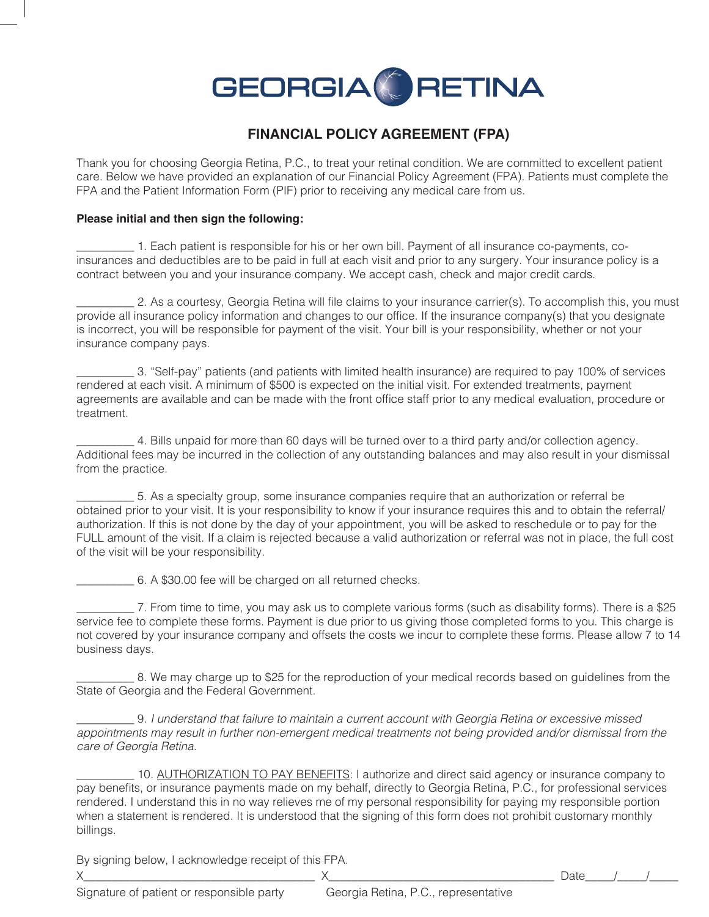

### **FINANCIAL POLICY AGREEMENT (FPA)**

Thank you for choosing Georgia Retina, P.C., to treat your retinal condition. We are committed to excellent patient care. Below we have provided an explanation of our Financial Policy Agreement (FPA). Patients must complete the FPA and the Patient Information Form (PIF) prior to receiving any medical care from us.

#### Please initial and then sign the following:

1. Each patient is responsible for his or her own bill. Payment of all insurance co-payments, coinsurances and deductibles are to be paid in full at each visit and prior to any surgery. Your insurance policy is a contract between you and your insurance company. We accept cash, check and major credit cards.

2. As a courtesy, Georgia Retina will file claims to your insurance carrier(s). To accomplish this, you must provide all insurance policy information and changes to our office. If the insurance company(s) that you designate is incorrect, you will be responsible for payment of the visit. Your bill is your responsibility, whether or not your insurance company pays.

3. "Self-pay" patients (and patients with limited health insurance) are required to pay 100% of services rendered at each visit. A minimum of \$500 is expected on the initial visit. For extended treatments, payment agreements are available and can be made with the front office staff prior to any medical evaluation, procedure or treatment.

4. Bills unpaid for more than 60 days will be turned over to a third party and/or collection agency. Additional fees may be incurred in the collection of any outstanding balances and may also result in your dismissal from the practice.

5. As a specialty group, some insurance companies require that an authorization or referral be obtained prior to your visit. It is your responsibility to know if your insurance requires this and to obtain the referral/ authorization. If this is not done by the day of your appointment, you will be asked to reschedule or to pay for the FULL amount of the visit. If a claim is rejected because a valid authorization or referral was not in place, the full cost of the visit will be your responsibility.

6. A \$30.00 fee will be charged on all returned checks.

7. From time to time, you may ask us to complete various forms (such as disability forms). There is a \$25 service fee to complete these forms. Payment is due prior to us giving those completed forms to you. This charge is not covered by your insurance company and offsets the costs we incur to complete these forms. Please allow 7 to 14 business days.

8. We may charge up to \$25 for the reproduction of your medical records based on quidelines from the State of Georgia and the Federal Government.

9. I understand that failure to maintain a current account with Georgia Retina or excessive missed appointments may result in further non-emergent medical treatments not being provided and/or dismissal from the care of Georgia Retina.

10. AUTHORIZATION TO PAY BENEFITS: I authorize and direct said agency or insurance company to pay benefits, or insurance payments made on my behalf, directly to Georgia Retina, P.C., for professional services rendered. I understand this in no way relieves me of my personal responsibility for paying my responsible portion when a statement is rendered. It is understood that the signing of this form does not prohibit customary monthly billings.

 $\times$ 

By signing below, I acknowledge receipt of this FPA.

 $X \sim$ 

Date

Signature of patient or responsible party

Georgia Retina, P.C., representative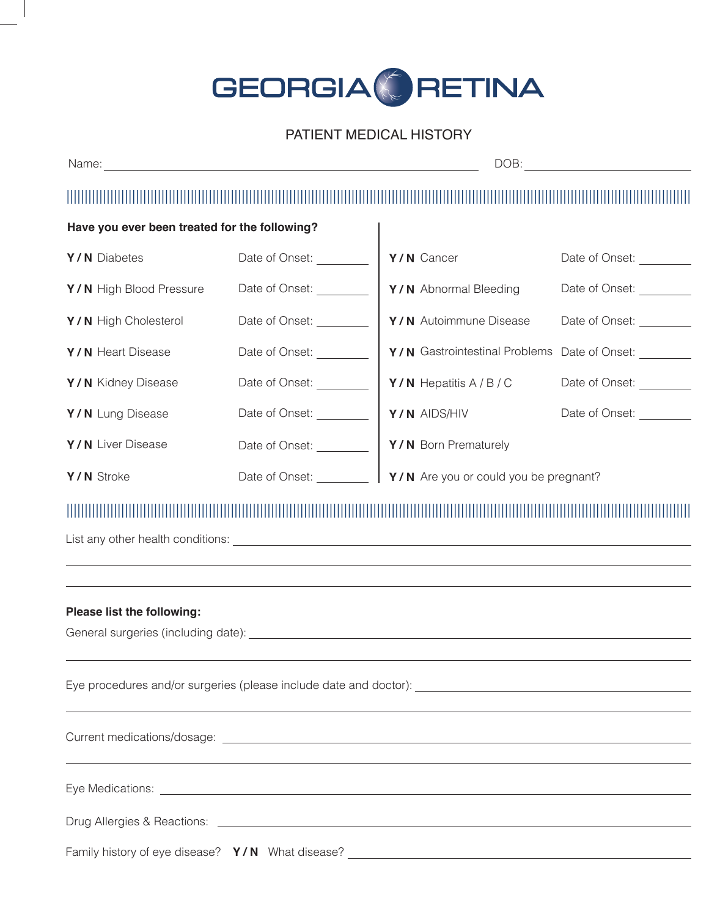# GEORGIA CRETINA

## PATIENT MEDICAL HISTORY

| Have you ever been treated for the following?                                                                                                                                                                                                                |                                  |                                                             |                          |  |  |
|--------------------------------------------------------------------------------------------------------------------------------------------------------------------------------------------------------------------------------------------------------------|----------------------------------|-------------------------------------------------------------|--------------------------|--|--|
| Y/N Diabetes                                                                                                                                                                                                                                                 | Date of Onset: _________         | Y/N Cancer                                                  | Date of Onset: _________ |  |  |
| Y/N High Blood Pressure                                                                                                                                                                                                                                      | Date of Onset: <u>_________</u>  | Y/N Abnormal Bleeding                                       | Date of Onset:           |  |  |
| Y/N High Cholesterol                                                                                                                                                                                                                                         | Date of Onset: _________         | Y/N Autoimmune Disease                                      | Date of Onset:           |  |  |
| Y/N Heart Disease                                                                                                                                                                                                                                            | Date of Onset:                   | Y/N Gastrointestinal Problems                               | Date of Onset:           |  |  |
| Y/N Kidney Disease                                                                                                                                                                                                                                           | Date of Onset: _________         | <b>Y/N</b> Hepatitis $A/B/C$                                | Date of Onset:           |  |  |
| Y/N Lung Disease                                                                                                                                                                                                                                             | Date of Onset: <u>_________</u>  | Y/N AIDS/HIV                                                | Date of Onset:           |  |  |
| Y/N Liver Disease                                                                                                                                                                                                                                            | Date of Onset: <u>__________</u> | Y/N Born Prematurely                                        |                          |  |  |
| Y/N Stroke                                                                                                                                                                                                                                                   |                                  | Date of Onset: <b>Y/N</b> Are you or could you be pregnant? |                          |  |  |
|                                                                                                                                                                                                                                                              |                                  |                                                             |                          |  |  |
| Please list the following:<br>General surgeries (including date): Letter and the state of the state of the state of the state of the state of the state of the state of the state of the state of the state of the state of the state of the state of the st |                                  |                                                             |                          |  |  |
| ,我们也不会有什么。""我们的人,我们也不会有什么?""我们的人,我们也不会有什么?""我们的人,我们也不会有什么?""我们的人,我们也不会有什么?""我们的人                                                                                                                                                                             |                                  |                                                             |                          |  |  |
|                                                                                                                                                                                                                                                              |                                  |                                                             |                          |  |  |
| Eye Medications: <b>Exercise Exercise Contract Contract Contract Contract Contract Contract Contract Contract Contract Contract Contract Contract Contract Contract Contract Contract Contract Contract Contract Contract Contra</b>                         |                                  |                                                             |                          |  |  |
|                                                                                                                                                                                                                                                              |                                  |                                                             |                          |  |  |
| Family history of eye disease? Y/N What disease? _______________________________                                                                                                                                                                             |                                  |                                                             |                          |  |  |